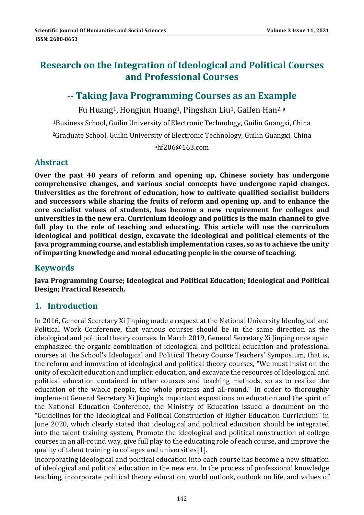# **Research on the Integration of Ideological and Political Courses and Professional Courses**

# **‐‐ Taking Java Programming Courses as an Example**

Fu Huang<sup>1</sup>, Hongjun Huang<sup>1</sup>, Pingshan Liu<sup>1</sup>, Gaifen Han<sup>2, a</sup>

<sup>1</sup>Business School, Guilin University of Electronic Technology, Guilin Guangxi, China

<sup>2</sup>Graduate School, Guilin University of Electronic Technology, Guilin Guangxi, China

ahf206@163.com 

# **Abstract**

**Over the past 40 years of reform and opening up, Chinese society has undergone comprehensive changes, and various social concepts have undergone rapid changes. Universities as the forefront of education, how to cultivate qualified socialist builders and successors while sharing the fruits of reform and opening up, and to enhance the core socialist values of students, has become a new requirement for colleges and universities in the new era. Curriculum ideology and politics is the main channel to give full play to the role of teaching and educating. This article will use the curriculum ideological and political design, excavate the ideological and political elements of the Java programming course, and establish implementation cases, so as to achieve the unity of imparting knowledge and moral educating people in the course of teaching.**

# **Keywords**

**Java Programming Course; Ideological and Political Education; Ideological and Political Design; Practical Research.**

# **1. Introduction**

In 2016, General Secretary Xi linping made a request at the National University Ideological and Political Work Conference, that various courses should be in the same direction as the ideological and political theory courses. In March 2019, General Secretary Xi Jinping once again emphasized the organic combination of ideological and political education and professional courses at the School's Ideological and Political Theory Course Teachers' Symposium, that is, the reform and innovation of ideological and political theory courses, "We must insist on the unity of explicit education and implicit education, and excavate the resources of Ideological and political education contained in other courses and teaching methods, so as to realize the education of the whole people, the whole process and all-round." In order to thoroughly implement General Secretary Xi Jinping's important expositions on education and the spirit of the National Education Conference, the Ministry of Education issued a document on the "Guidelines for the Ideological and Political Construction of Higher Education Curriculum" in June 2020, which clearly stated that ideological and political education should be integrated into the talent training system, Promote the ideological and political construction of college courses in an all-round way, give full play to the educating role of each course, and improve the quality of talent training in colleges and universities[1].

Incorporating ideological and political education into each course has become a new situation of ideological and political education in the new era. In the process of professional knowledge teaching, incorporate political theory education, world outlook, outlook on life, and values of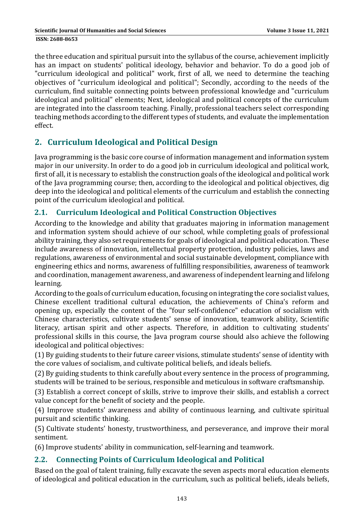the three education and spiritual pursuit into the syllabus of the course, achievement implicitly has an impact on students' political ideology, behavior and behavior. To do a good job of "curriculum ideological and political" work, first of all, we need to determine the teaching objectives of "curriculum ideological and political"; Secondly, according to the needs of the curriculum, find suitable connecting points between professional knowledge and "curriculum ideological and political" elements; Next, ideological and political concepts of the curriculum are integrated into the classroom teaching. Finally, professional teachers select corresponding teaching methods according to the different types of students, and evaluate the implementation effect. 

# **2. Curriculum Ideological and Political Design**

Java programming is the basic core course of information management and information system major in our university. In order to do a good job in curriculum ideological and political work, first of all, it is necessary to establish the construction goals of the ideological and political work of the Java programming course; then, according to the ideological and political objectives, dig deep into the ideological and political elements of the curriculum and establish the connecting point of the curriculum ideological and political.

### **2.1. Curriculum Ideological and Political Construction Objectives**

According to the knowledge and ability that graduates majoring in information management and information system should achieve of our school, while completing goals of professional ability training, they also set requirements for goals of ideological and political education. These include awareness of innovation, intellectual property protection, industry policies, laws and regulations, awareness of environmental and social sustainable development, compliance with engineering ethics and norms, awareness of fulfilling responsibilities, awareness of teamwork and coordination, management awareness, and awareness of independent learning and lifelong learning. 

According to the goals of curriculum education, focusing on integrating the core socialist values, Chinese excellent traditional cultural education, the achievements of China's reform and opening up, especially the content of the "four self-confidence" education of socialism with Chinese characteristics, cultivate students' sense of innovation, teamwork ability, Scientific literacy, artisan spirit and other aspects. Therefore, in addition to cultivating students' professional skills in this course, the Java program course should also achieve the following ideological and political objectives:

(1) By guiding students to their future career visions, stimulate students' sense of identity with the core values of socialism, and cultivate political beliefs, and ideals beliefs.

(2) By guiding students to think carefully about every sentence in the process of programming, students will be trained to be serious, responsible and meticulous in software craftsmanship.

(3) Establish a correct concept of skills, strive to improve their skills, and establish a correct value concept for the benefit of society and the people.

(4) Improve students' awareness and ability of continuous learning, and cultivate spiritual pursuit and scientific thinking.

(5) Cultivate students' honesty, trustworthiness, and perseverance, and improve their moral sentiment. 

(6) Improve students' ability in communication, self-learning and teamwork.

### **2.2. Connecting Points of Curriculum Ideological and Political**

Based on the goal of talent training, fully excavate the seven aspects moral education elements of ideological and political education in the curriculum, such as political beliefs, ideals beliefs,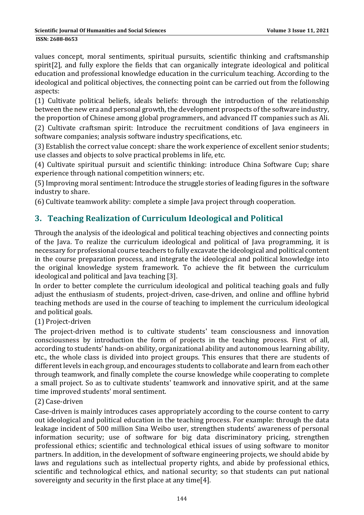values concept, moral sentiments, spiritual pursuits, scientific thinking and craftsmanship spirit<sup>[2]</sup>, and fully explore the fields that can organically integrate ideological and political education and professional knowledge education in the curriculum teaching. According to the ideological and political objectives, the connecting point can be carried out from the following aspects: 

(1) Cultivate political beliefs, ideals beliefs: through the introduction of the relationship between the new era and personal growth, the development prospects of the software industry, the proportion of Chinese among global programmers, and advanced IT companies such as Ali.

(2) Cultivate craftsman spirit: Introduce the recruitment conditions of Java engineers in software companies; analysis software industry specifications, etc.

(3) Establish the correct value concept: share the work experience of excellent senior students; use classes and objects to solve practical problems in life, etc.

(4) Cultivate spiritual pursuit and scientific thinking: introduce China Software Cup; share experience through national competition winners; etc.

(5) Improving moral sentiment: Introduce the struggle stories of leading figures in the software industry to share.

(6) Cultivate teamwork ability: complete a simple Java project through cooperation.

# **3. Teaching Realization of Curriculum Ideological and Political**

Through the analysis of the ideological and political teaching objectives and connecting points of the Java. To realize the curriculum ideological and political of Java programming, it is necessary for professional course teachers to fully excavate the ideological and political content in the course preparation process, and integrate the ideological and political knowledge into the original knowledge system framework. To achieve the fit between the curriculum ideological and political and Java teaching [3].

In order to better complete the curriculum ideological and political teaching goals and fully adjust the enthusiasm of students, project-driven, case-driven, and online and offline hybrid teaching methods are used in the course of teaching to implement the curriculum ideological and political goals.

#### (1) Project‐driven

The project-driven method is to cultivate students' team consciousness and innovation consciousness by introduction the form of projects in the teaching process. First of all, according to students' hands-on ability, organizational ability and autonomous learning ability, etc., the whole class is divided into project groups. This ensures that there are students of different levels in each group, and encourages students to collaborate and learn from each other through teamwork, and finally complete the course knowledge while cooperating to complete a small project. So as to cultivate students' teamwork and innovative spirit, and at the same time improved students' moral sentiment.

#### (2) Case‐driven

Case-driven is mainly introduces cases appropriately according to the course content to carry out ideological and political education in the teaching process. For example: through the data leakage incident of 500 million Sina Weibo user, strengthen students' awareness of personal information security; use of software for big data discriminatory pricing, strengthen professional ethics; scientific and technological ethical issues of using software to monitor partners. In addition, in the development of software engineering projects, we should abide by laws and regulations such as intellectual property rights, and abide by professional ethics, scientific and technological ethics, and national security; so that students can put national sovereignty and security in the first place at any time[4].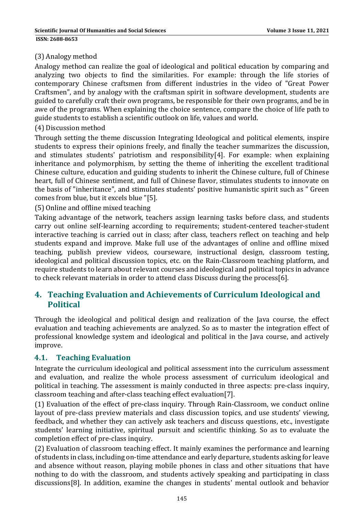#### (3) Analogy method

Analogy method can realize the goal of ideological and political education by comparing and analyzing two objects to find the similarities. For example: through the life stories of contemporary Chinese craftsmen from different industries in the video of "Great Power Craftsmen", and by analogy with the craftsman spirit in software development, students are guided to carefully craft their own programs, be responsible for their own programs, and be in awe of the programs. When explaining the choice sentence, compare the choice of life path to guide students to establish a scientific outlook on life, values and world.

#### (4) Discussion method

Through setting the theme discussion Integrating Ideological and political elements, inspire students to express their opinions freely, and finally the teacher summarizes the discussion, and stimulates students' patriotism and responsibility[4]. For example: when explaining inheritance and polymorphism, by setting the theme of inheriting the excellent traditional Chinese culture, education and guiding students to inherit the Chinese culture, full of Chinese heart, full of Chinese sentiment, and full of Chinese flavor, stimulates students to innovate on the basis of "inheritance", and stimulates students' positive humanistic spirit such as " Green comes from blue, but it excels blue "[5].

#### (5) Online and offline mixed teaching

Taking advantage of the network, teachers assign learning tasks before class, and students carry out online self-learning according to requirements; student-centered teacher-student interactive teaching is carried out in class; after class, teachers reflect on teaching and help students expand and improve. Make full use of the advantages of online and offline mixed teaching, publish preview videos, courseware, instructional design, classroom testing, ideological and political discussion topics, etc. on the Rain-Classroom teaching platform, and require students to learn about relevant courses and ideological and political topics in advance to check relevant materials in order to attend class Discuss during the process[6].

### **4. Teaching Evaluation and Achievements of Curriculum Ideological and Political**

Through the ideological and political design and realization of the Java course, the effect evaluation and teaching achievements are analyzed. So as to master the integration effect of professional knowledge system and ideological and political in the Java course, and actively improve. 

#### **4.1. Teaching Evaluation**

Integrate the curriculum ideological and political assessment into the curriculum assessment and evaluation, and realize the whole process assessment of curriculum ideological and political in teaching. The assessment is mainly conducted in three aspects: pre-class inquiry, classroom teaching and after-class teaching effect evaluation[7].

(1) Evaluation of the effect of pre-class inquiry. Through Rain-Classroom, we conduct online layout of pre-class preview materials and class discussion topics, and use students' viewing, feedback, and whether they can actively ask teachers and discuss questions, etc., investigate students' learning initiative, spiritual pursuit and scientific thinking. So as to evaluate the completion effect of pre-class inquiry.

(2) Evaluation of classroom teaching effect. It mainly examines the performance and learning of students in class, including on-time attendance and early departure, students asking for leave and absence without reason, playing mobile phones in class and other situations that have nothing to do with the classroom, and students actively speaking and participating in class discussions[8]. In addition, examine the changes in students' mental outlook and behavior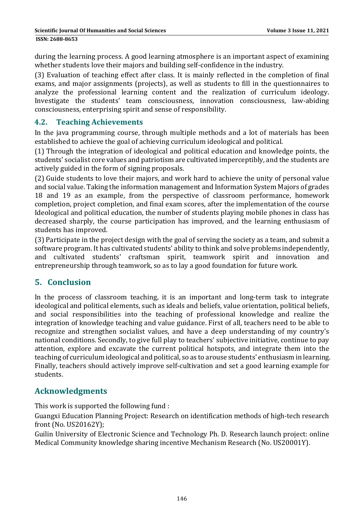**ISSN: 2688-8653** 

during the learning process. A good learning atmosphere is an important aspect of examining whether students love their majors and building self-confidence in the industry.

(3) Evaluation of teaching effect after class. It is mainly reflected in the completion of final exams, and major assignments (projects), as well as students to fill in the questionnaires to analyze the professional learning content and the realization of curriculum ideology. Investigate the students' team consciousness, innovation consciousness, law-abiding consciousness, enterprising spirit and sense of responsibility.

### **4.2. Teaching Achievements**

In the java programming course, through multiple methods and a lot of materials has been established to achieve the goal of achieving curriculum ideological and political.

(1) Through the integration of ideological and political education and knowledge points, the students' socialist core values and patriotism are cultivated imperceptibly, and the students are actively guided in the form of signing proposals.

(2) Guide students to love their majors, and work hard to achieve the unity of personal value and social value. Taking the information management and Information System Majors of grades 18 and 19 as an example, from the perspective of classroom performance, homework completion, project completion, and final exam scores, after the implementation of the course Ideological and political education, the number of students playing mobile phones in class has decreased sharply, the course participation has improved, and the learning enthusiasm of students has improved.

(3) Participate in the project design with the goal of serving the society as a team, and submit a software program. It has cultivated students' ability to think and solve problems independently, and cultivated students' craftsman spirit, teamwork spirit and innovation and entrepreneurship through teamwork, so as to lay a good foundation for future work.

### **5. Conclusion**

In the process of classroom teaching, it is an important and long-term task to integrate ideological and political elements, such as ideals and beliefs, value orientation, political beliefs, and social responsibilities into the teaching of professional knowledge and realize the integration of knowledge teaching and value guidance. First of all, teachers need to be able to recognize and strengthen socialist values, and have a deep understanding of my country's national conditions. Secondly, to give full play to teachers' subjective initiative, continue to pay attention, explore and excavate the current political hotspots, and integrate them into the teaching of curriculum ideological and political, so as to arouse students' enthusiasm in learning. Finally, teachers should actively improve self-cultivation and set a good learning example for students. 

### **Acknowledgments**

This work is supported the following fund :

Guangxi Education Planning Project: Research on identification methods of high-tech research front (No. US20162Y);

Guilin University of Electronic Science and Technology Ph. D. Research launch project: online Medical Community knowledge sharing incentive Mechanism Research (No. US20001Y).